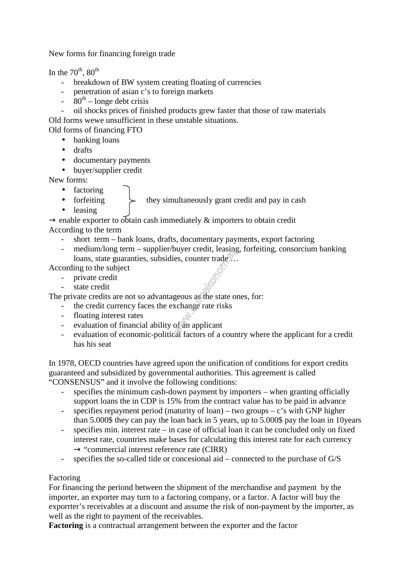New forms for financing foreign trade

In the  $70^{th}$ ,  $80^{th}$ 

- breakdown of BW system creating floating of currencies
- penetration of asian c's to foreign markets
- $-80^{th}$  longe debt crisis
- oil shocks prices of finished products grew faster that those of raw materials Old forms wewe unsufficient in these unstable situations.

Old forms of financing FTO

- banking loans
- drafts
- documentary payments
- buyer/supplier credit

New forms:

- factoring
- forfeiting  $\leftarrow$  they simultaneously grant credit and pay in cash
- leasing

 $\rightarrow$  enable exporter to obtain cash immediately  $\&$  importers to obtain credit According to the term

- short term bank loans, drafts, documentary payments, export factoring
- medium/long term supplier/buyer credit, leasing, forfeiting, consorcium banking loans, state guaranties, subsidies, counter trade...

According to the subject

- private credit
- state credit

The private credits are not so advantageous as the state ones, for:

- the credit currency faces the exchange rate risks
- floating interest rates
- evaluation of financial ability of an applicant
- evaluation of economic-political factors of a country where the applicant for a credit has his seat

In 1978, OECD countries have agreed upon the unification of conditions for export credits guaranteed and subsidized by governmental authorities. This agreement is called "CONSENSUS" and it involve the following conditions:

- specifies the minimum cash-down payment by importers when granting officially support loans the in CDP is 15% from the contract value has to be paid in advance
- specifies repayment period (maturity of  $loan$ ) two groups c's with GNP higher than 5.000\$ they can pay the loan back in 5 years, up to 5.000\$ pay the loan in 10years
- specifies min. interest rate in case of official loan it can be concluded only on fixed interest rate, countries make bases for calculating this interest rate for each currency  $\rightarrow$  "commercial interest reference rate (CIRR)
- specifies the so-called tide or concesional aid connected to the purchase of G/S

## Factoring

For financing the periond between the shipment of the merchandise and payment by the importer, an exporter may turn to a factoring company, or a factor. A factor will buy the exporrter's receivables at a discount and assume the risk of non-payment by the importer, as well as the right to payment of the receivables.

**Factoring** is a contractual arrangement between the exporter and the factor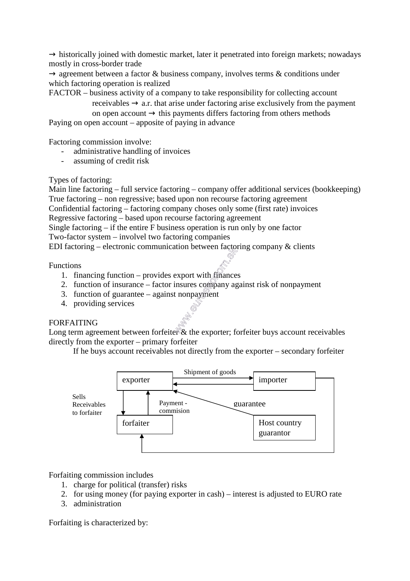$\rightarrow$  historically joined with domestic market, later it penetrated into foreign markets; nowadays mostly in cross-border trade

 $\rightarrow$  agreement between a factor & business company, involves terms & conditions under which factoring operation is realized

FACTOR – business activity of a company to take responsibility for collecting account receivables  $\rightarrow$  a.r. that arise under factoring arise exclusively from the payment

on open account  $\rightarrow$  this payments differs factoring from others methods Paying on open account – apposite of paying in advance

Factoring commission involve:

- administrative handling of invoices
- assuming of credit risk

Types of factoring:

Main line factoring – full service factoring – company offer additional services (bookkeeping) True factoring – non regressive; based upon non recourse factoring agreement Confidential factoring – factoring company choses only some (first rate) invoices Regressive factoring – based upon recourse factoring agreement Single factoring – if the entire F business operation is run only by one factor Two-factor system – involvel two factoring companies EDI factoring – electronic communication between factoring company  $\&$  clients

Functions

- 1. financing function provides export with finances
- 2. function of insurance factor insures company against risk of nonpayment
- 3. function of guarantee against nonpayment
- 4. providing services

## FORFAITING

Long term agreement between forfeiter & the exporter; forfeiter buys account receivables directly from the exporter – primary forfeiter

If he buys account receivables not directly from the exporter – secondary forfeiter



Forfaiting commission includes

- 1. charge for political (transfer) risks
- 2. for using money (for paying exporter in cash) interest is adjusted to EURO rate
- 3. administration

Forfaiting is characterized by: